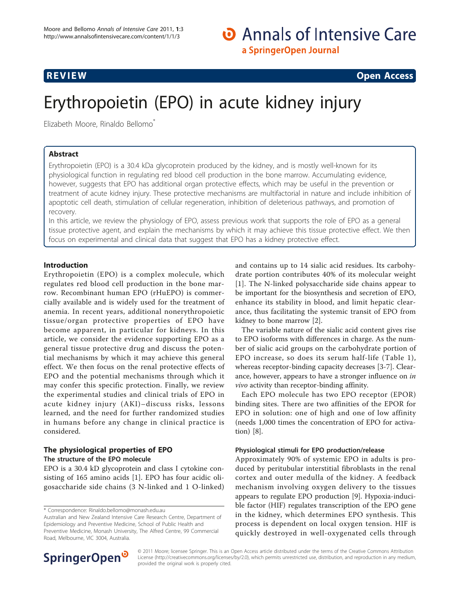**REVIEW CONSTRUCTION CONSTRUCTION CONSTRUCTS** 

# Erythropoietin (EPO) in acute kidney injury

Elizabeth Moore, Rinaldo Bellomo<sup>\*</sup>

# Abstract

Erythropoietin (EPO) is a 30.4 kDa glycoprotein produced by the kidney, and is mostly well-known for its physiological function in regulating red blood cell production in the bone marrow. Accumulating evidence, however, suggests that EPO has additional organ protective effects, which may be useful in the prevention or treatment of acute kidney injury. These protective mechanisms are multifactorial in nature and include inhibition of apoptotic cell death, stimulation of cellular regeneration, inhibition of deleterious pathways, and promotion of recovery.

In this article, we review the physiology of EPO, assess previous work that supports the role of EPO as a general tissue protective agent, and explain the mechanisms by which it may achieve this tissue protective effect. We then focus on experimental and clinical data that suggest that EPO has a kidney protective effect.

# Introduction

Erythropoietin (EPO) is a complex molecule, which regulates red blood cell production in the bone marrow. Recombinant human EPO (rHuEPO) is commercially available and is widely used for the treatment of anemia. In recent years, additional nonerythropoietic tissue/organ protective properties of EPO have become apparent, in particular for kidneys. In this article, we consider the evidence supporting EPO as a general tissue protective drug and discuss the potential mechanisms by which it may achieve this general effect. We then focus on the renal protective effects of EPO and the potential mechanisms through which it may confer this specific protection. Finally, we review the experimental studies and clinical trials of EPO in acute kidney injury (AKI)–discuss risks, lessons learned, and the need for further randomized studies in humans before any change in clinical practice is considered.

# The physiological properties of EPO The structure of the EPO molecule

EPO is a 30.4 kD glycoprotein and class I cytokine consisting of 165 amino acids [\[1](#page-8-0)]. EPO has four acidic oligosaccharide side chains (3 N-linked and 1 O-linked)

\* Correspondence: [Rinaldo.bellomo@monash.edu.au](mailto:Rinaldo.bellomo@monash.edu.au)

and contains up to 14 sialic acid residues. Its carbohydrate portion contributes 40% of its molecular weight [[1](#page-8-0)]. The N-linked polysaccharide side chains appear to be important for the biosynthesis and secretion of EPO, enhance its stability in blood, and limit hepatic clearance, thus facilitating the systemic transit of EPO from kidney to bone marrow [[2](#page-8-0)].

The variable nature of the sialic acid content gives rise to EPO isoforms with differences in charge. As the number of sialic acid groups on the carbohydrate portion of EPO increase, so does its serum half-life (Table [1\)](#page-1-0), whereas receptor-binding capacity decreases [[3-7](#page-8-0)]. Clearance, however, appears to have a stronger influence on in vivo activity than receptor-binding affinity.

Each EPO molecule has two EPO receptor (EPOR) binding sites. There are two affinities of the EPOR for EPO in solution: one of high and one of low affinity (needs 1,000 times the concentration of EPO for activation) [\[8](#page-8-0)].

#### Physiological stimuli for EPO production/release

Approximately 90% of systemic EPO in adults is produced by peritubular interstitial fibroblasts in the renal cortex and outer medulla of the kidney. A feedback mechanism involving oxygen delivery to the tissues appears to regulate EPO production [[9\]](#page-8-0). Hypoxia-inducible factor (HIF) regulates transcription of the EPO gene in the kidney, which determines EPO synthesis. This process is dependent on local oxygen tension. HIF is quickly destroyed in well-oxygenated cells through



© 2011 Moore; licensee Springer. This is an Open Access article distributed under the terms of the Creative Commons Attribution License [\(http://creativecommons.org/licenses/by/2.0](http://creativecommons.org/licenses/by/2.0)), which permits unrestricted use, distribution, and reproduction in any medium, provided the original work is properly cited.

Australian and New Zealand Intensive Care Research Centre, Department of Epidemiology and Preventive Medicine, School of Public Health and Preventive Medicine, Monash University, The Alfred Centre, 99 Commercial Road, Melbourne, VIC 3004, Australia.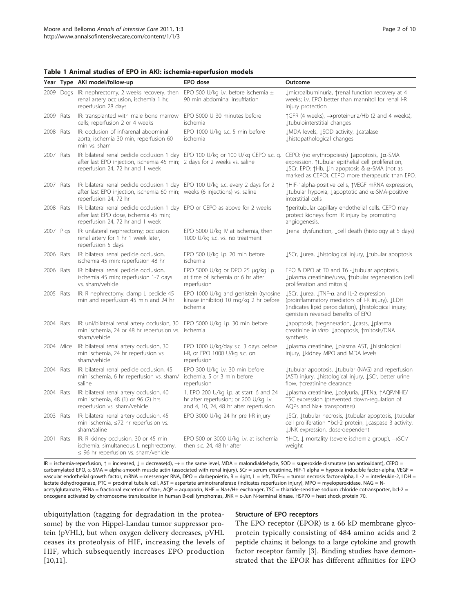<span id="page-1-0"></span>Table 1 Animal studies of EPO in AKI: ischemia-reperfusion models

|           |           | Year Type AKI model/follow-up                                                                                                                                                                     | EPO dose                                                                                                                    | Outcome                                                                                                                                                                                                                               |
|-----------|-----------|---------------------------------------------------------------------------------------------------------------------------------------------------------------------------------------------------|-----------------------------------------------------------------------------------------------------------------------------|---------------------------------------------------------------------------------------------------------------------------------------------------------------------------------------------------------------------------------------|
|           |           | 2009 Dogs IR: nephrectomy, 2 weeks recovery, then EPO 500 U/kg i.v. before ischemia $\pm$<br>renal artery occlusion, ischemia 1 hr;<br>reperfusion 28 days                                        | 90 min abdominal insufflation                                                                                               | ↓ microalbuminuria, 1 renal function recovery at 4<br>weeks; i.v. EPO better than mannitol for renal I-R<br>injury protection                                                                                                         |
| 2009 Rats |           | IR: transplanted with male bone marrow EPO 5000 U 30 minutes before<br>cells; reperfusion 2 or 4 weeks                                                                                            | ischemia                                                                                                                    | ↑GFR (4 weeks), →proteinuria/Hb (2 and 4 weeks),<br>Itubulointerstitial changes                                                                                                                                                       |
| 2008 Rats |           | IR: occlusion of infrarenal abdominal<br>aorta, ischemia 30 min, reperfusion 60<br>min vs. sham                                                                                                   | EPO 1000 U/kg s.c. 5 min before<br>ischemia                                                                                 | ↓MDA levels, ↓SOD activity, ↓catalase<br>I histopathological changes                                                                                                                                                                  |
| 2007 Rats |           | IR: bilateral renal pedicle occlusion 1 day EPO 100 U/kg or 100 U/kg CEPO s.c. q.<br>after last EPO injection, ischemia 45 min; 2 days for 2 weeks vs. saline<br>reperfusion 24, 72 hr and 1 week |                                                                                                                             | CEPO: (no erythropoiesis) Lapoptosis, $\text{La-SMA}$<br>expression, 1tubular epithelial cell proliferation,<br>JSCr. EPO: ↑Hb, Jin apoptosis & $\alpha$ -SMA (not as<br>marked as CEPO). CEPO more therapeutic than EPO.             |
| 2007 Rats |           | IR: bilateral renal pedicle occlusion 1 day EPO 100 U/kg s.c. every 2 days for 2<br>after last EPO injection, ischemia 60 min; weeks (6 injections) vs. saline<br>reperfusion 24, 72 hr           |                                                                                                                             | ↑HIF-1alpha-positive cells, ↑VEGF mRNA expression,<br>Itubular hypoxia, Lapoptotic and $\alpha$ -SMA-positive<br>interstitial cells                                                                                                   |
| 2008 Rats |           | IR: bilateral renal pedicle occlusion 1 day EPO or CEPO as above for 2 weeks<br>after last EPO dose, ischemia 45 min;<br>reperfusion 24, 72 hr and 1 week                                         |                                                                                                                             | Theritubular capillary endothelial cells. CEPO may<br>protect kidneys from IR injury by promoting<br>angiogenesis.                                                                                                                    |
| 2007 Pigs |           | IR: unilateral nephrectomy; occlusion<br>renal artery for 1 hr 1 week later,<br>reperfusion 5 days                                                                                                | EPO 5000 U/kg IV at ischemia, then<br>1000 U/kg s.c. vs. no treatment                                                       | Irenal dysfunction, Icell death (histology at 5 days)                                                                                                                                                                                 |
| 2006 Rats |           | IR: bilateral renal pedicle occlusion,<br>ischemia 45 min; reperfusion 48 hr                                                                                                                      | EPO 500 U/kg i.p. 20 min before<br>ischemia                                                                                 | ↓SCr, ↓urea, ↓histological injury, ↓tubular apoptosis                                                                                                                                                                                 |
| 2006 Rats |           | IR: bilateral renal pedicle occlusion,<br>ischemia 45 min; reperfusion 1-7 days<br>vs. sham/vehicle                                                                                               | EPO 5000 U/kg or DPO 25 µg/kg i.p.<br>at time of ischemia or 6 hr after<br>reperfusion                                      | EPO & DPO at T0 and T6 - Įtubular apoptosis,<br>I plasma creatinine/urea, 1tubular regeneration (cell<br>proliferation and mitosis)                                                                                                   |
| 2005 Rats |           | IR: R nephrectomy, clamp L pedicle 45<br>min and reperfusion 45 min and 24 hr                                                                                                                     | EPO 1000 U/kg and genistein (tyrosine<br>kinase inhibitor) 10 mg/kg 2 hr before<br>ischemia                                 | $\downarrow$ SCr, $\downarrow$ urea, $\downarrow$ TNF- $\alpha$ and IL-2 expression<br>(proinflammatory mediators of I-R injury), JLDH<br>(indicates lipid peroxidation), Uhistological injury;<br>genistein reversed benefits of EPO |
| 2004 Rats |           | IR: uni/bilateral renal artery occlusion, 30 EPO 5000 U/kg i.p. 30 min before<br>min ischemia, 24 or 48 hr reperfusion vs. ischemia<br>sham/vehicle                                               |                                                                                                                             | ↓apoptosis, ↑regeneration, ↓ casts, ↓ plasma<br>creatinine in vitro: Lapoptosis, 1 mitosis/DNA<br>synthesis                                                                                                                           |
|           | 2004 Mice | IR: bilateral renal artery occlusion, 30<br>min ischemia, 24 hr reperfusion vs.<br>sham/vehicle                                                                                                   | EPO 1000 U/kg/day s.c. 3 days before<br>I-R, or EPO 1000 U/kg s.c. on<br>reperfusion                                        | ↓ plasma creatinine, ↓ plasma AST, ↓ histological<br>injury, Lkidney MPO and MDA levels                                                                                                                                               |
| 2004 Rats |           | IR: bilateral renal pedicle occlusion, 45<br>min ischemia, 6 hr reperfusion vs. sham/<br>saline                                                                                                   | EPO 300 U/kg i.v. 30 min before<br>ischemia, 5 or 3 min before<br>reperfusion                                               | Itubular apoptosis, Itubular (NAG) and reperfusion<br>(AST) injury, Jhistological injury, JSCr, better urine<br>flow, 1creatinine clearance                                                                                           |
| 2004 Rats |           | IR: bilateral renal artery occlusion, 40<br>min ischemia, 48 (1) or 96 (2) hrs<br>reperfusion vs. sham/vehicle                                                                                    | 1. EPO 200 U/kg i.p. at start. 6 and 24<br>hr after reperfusion; or 200 U/kg i.v.<br>and 4, 10, 24, 48 hr after reperfusion | Jplasma creatinine, Jpolyuria, JFENa, ↑AQP/NHE/<br>TSC expression (prevented down-regulation of<br>AQPs and Na+ transporters)                                                                                                         |
| 2003 Rats |           | IR: bilateral renal artery occlusion, 45<br>min ischemia, ≤72 hr reperfusion vs.<br>sham/saline                                                                                                   | EPO 3000 U/kg 24 hr pre I-R injury                                                                                          | JSCr, Jtubular necrosis, Jtubular apoptosis, Jtubular<br>cell proliferation 1bcl-2 protein, J caspase 3 activity,<br>JJNK expression, dose-dependent                                                                                  |
| 2001 Rats |           | IR: R kidney occlusion, 30 or 45 min<br>ischemia, simultaneous L nephrectomy,<br>$\leq$ 96 hr reperfusion vs. sham/vehicle                                                                        | EPO 500 or 3000 U/kg i.v. at ischemia<br>then s.c. 24, 48 hr after                                                          | ↑HCt, J mortality (severe ischemia group), →SCr/<br>weight                                                                                                                                                                            |

IR = ischemia-reperfusion, <sup>↑</sup> = increased, <sup>↓</sup> = decrease(d), ® = the same level, MDA = malondialdehyde, SOD = superoxide dismutase (an antioxidant), CEPO = carbamylated EPO,  $\alpha$ -SMA = alpha-smooth muscle actin (associated with renal injury), SCr = serum creatinine, HIF-1 alpha = hypoxia inducible factor-alpha, VEGF = vascular endothelial growth factor, mRNA = messenger RNA, DPO = darbepoietin, R = right, L = left, TNF- $\alpha$  = tumor necrosis factor-alpha, IL-2 = interleukin-2, LDH = lactate dehydrogenase, PTC = proximal tubule cell, AST = aspartate aminotransferase (indicates reperfusion injury), MPO = myeloperoxidase, NAG = Nacetylglutamate, FENa = fractional excretion of Na+, AQP = aquaporin, NHE = Na+/H+ exchanger, TSC = thiazide-sensitive sodium chloride cotransporter, bcl-2 = oncogene activated by chromosome translocation in human B-cell lymphomas, JNK = c-Jun N-terminal kinase, HSP70 = heat shock protein 70.

ubiquitylation (tagging for degradation in the proteasome) by the von Hippel-Landau tumor suppressor protein (pVHL), but when oxygen delivery decreases, pVHL ceases its proteolysis of HIF, increasing the levels of HIF, which subsequently increases EPO production [[10,11\]](#page-8-0).

#### Structure of EPO receptors

The EPO receptor (EPOR) is a 66 kD membrane glycoprotein typically consisting of 484 amino acids and 2 peptide chains; it belongs to a large cytokine and growth factor receptor family [\[3](#page-8-0)]. Binding studies have demonstrated that the EPOR has different affinities for EPO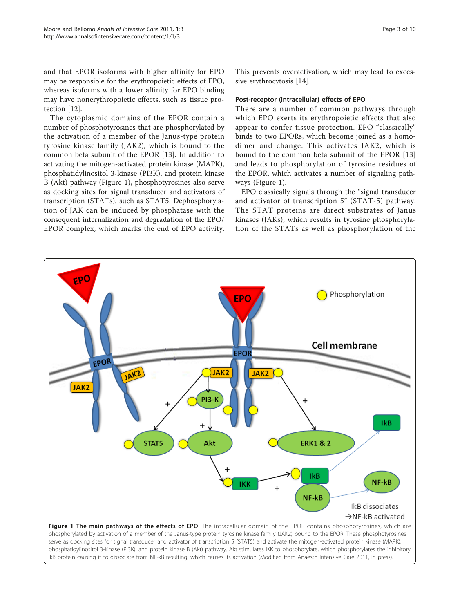<span id="page-2-0"></span>and that EPOR isoforms with higher affinity for EPO may be responsible for the erythropoietic effects of EPO, whereas isoforms with a lower affinity for EPO binding may have nonerythropoietic effects, such as tissue protection [\[12\]](#page-8-0).

The cytoplasmic domains of the EPOR contain a number of phosphotyrosines that are phosphorylated by the activation of a member of the Janus-type protein tyrosine kinase family (JAK2), which is bound to the common beta subunit of the EPOR [[13](#page-8-0)]. In addition to activating the mitogen-activated protein kinase (MAPK), phosphatidylinositol 3-kinase (PI3K), and protein kinase B (Akt) pathway (Figure 1), phosphotyrosines also serve as docking sites for signal transducer and activators of transcription (STATs), such as STAT5. Dephosphorylation of JAK can be induced by phosphatase with the consequent internalization and degradation of the EPO/ EPOR complex, which marks the end of EPO activity. This prevents overactivation, which may lead to excessive erythrocytosis [\[14\]](#page-8-0).

#### Post-receptor (intracellular) effects of EPO

There are a number of common pathways through which EPO exerts its erythropoietic effects that also appear to confer tissue protection. EPO "classically" binds to two EPORs, which become joined as a homodimer and change. This activates JAK2, which is bound to the common beta subunit of the EPOR [[13](#page-8-0)] and leads to phosphorylation of tyrosine residues of the EPOR, which activates a number of signaling pathways (Figure 1).

EPO classically signals through the "signal transducer and activator of transcription 5" (STAT-5) pathway. The STAT proteins are direct substrates of Janus kinases (JAKs), which results in tyrosine phosphorylation of the STATs as well as phosphorylation of the

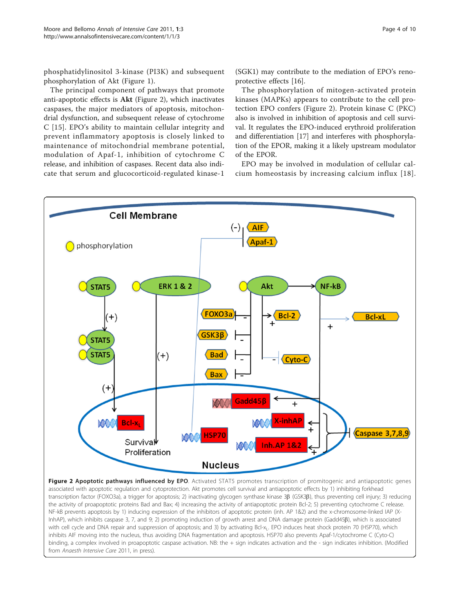<span id="page-3-0"></span>phosphatidylinositol 3-kinase (PI3K) and subsequent phosphorylation of Akt (Figure [1\)](#page-2-0).

The principal component of pathways that promote anti-apoptotic effects is Akt (Figure 2), which inactivates caspases, the major mediators of apoptosis, mitochondrial dysfunction, and subsequent release of cytochrome C [\[15\]](#page-8-0). EPO's ability to maintain cellular integrity and prevent inflammatory apoptosis is closely linked to maintenance of mitochondrial membrane potential, modulation of Apaf-1, inhibition of cytochrome C release, and inhibition of caspases. Recent data also indicate that serum and glucocorticoid-regulated kinase-1

(SGK1) may contribute to the mediation of EPO's renoprotective effects [\[16](#page-8-0)].

The phosphorylation of mitogen-activated protein kinases (MAPKs) appears to contribute to the cell protection EPO confers (Figure 2). Protein kinase C (PKC) also is involved in inhibition of apoptosis and cell survival. It regulates the EPO-induced erythroid proliferation and differentiation [\[17](#page-8-0)] and interferes with phosphorylation of the EPOR, making it a likely upstream modulator of the EPOR.

EPO may be involved in modulation of cellular calcium homeostasis by increasing calcium influx [[18\]](#page-8-0).



Figure 2 Apoptotic pathways influenced by EPO. Activated STAT5 promotes transcription of promitogenic and antiapoptotic genes associated with apoptotic regulation and cytoprotection. Akt promotes cell survival and antiapoptotic effects by 1) inhibiting forkhead transcription factor (FOXO3a), a trigger for apoptosis; 2) inactivating glycogen synthase kinase 3 $\beta$  (GSK3 $\beta$ ), thus preventing cell injury; 3) reducing the activity of proapoptotic proteins Bad and Bax; 4) increasing the activity of antiapoptotic protein Bcl-2; 5) preventing cytochrome C release. NF-kB prevents apoptosis by 1) inducing expression of the inhibitors of apoptotic protein (inh. AP 1&2) and the x-chromosome-linked IAP (X-InhAP), which inhibits caspase 3, 7, and 9; 2) promoting induction of growth arrest and DNA damage protein (Gadd45B), which is associated with cell cycle and DNA repair and suppression of apoptosis; and 3) by activating Bcl-x<sub>1</sub>. EPO induces heat shock protein 70 (HSP70), which inhibits AIF moving into the nucleus, thus avoiding DNA fragmentation and apoptosis. HSP70 also prevents Apaf-1/cytochrome C (Cyto-C) binding, a complex involved in proapoptotic caspase activation. NB: the + sign indicates activation and the - sign indicates inhibition. (Modified from Anaesth Intensive Care 2011, in press).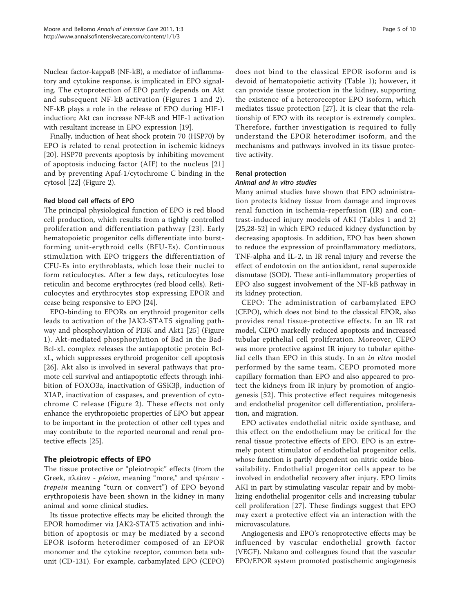Nuclear factor-kappaB (NF-kB), a mediator of inflammatory and cytokine response, is implicated in EPO signaling. The cytoprotection of EPO partly depends on Akt and subsequent NF-kB activation (Figures [1](#page-2-0) and [2\)](#page-3-0). NF-kB plays a role in the release of EPO during HIF-1 induction; Akt can increase NF-kB and HIF-1 activation with resultant increase in EPO expression [\[19\]](#page-8-0).

Finally, induction of heat shock protein 70 (HSP70) by EPO is related to renal protection in ischemic kidneys [[20\]](#page-8-0). HSP70 prevents apoptosis by inhibiting movement of apoptosis inducing factor (AIF) to the nucleus [[21](#page-8-0)] and by preventing Apaf-1/cytochrome C binding in the cytosol [\[22](#page-8-0)] (Figure [2\)](#page-3-0).

#### Red blood cell effects of EPO

The principal physiological function of EPO is red blood cell production, which results from a tightly controlled proliferation and differentiation pathway [[23\]](#page-8-0). Early hematopoietic progenitor cells differentiate into burstforming unit-erythroid cells (BFU-Es). Continuous stimulation with EPO triggers the differentiation of CFU-Es into erythroblasts, which lose their nuclei to form reticulocytes. After a few days, reticulocytes lose reticulin and become erythrocytes (red blood cells). Reticulocytes and erythrocytes stop expressing EPOR and cease being responsive to EPO [[24\]](#page-8-0).

EPO-binding to EPORs on erythroid progenitor cells leads to activation of the JAK2-STAT5 signaling pathway and phosphorylation of PI3K and Akt1 [[25\]](#page-9-0) (Figure [1\)](#page-2-0). Akt-mediated phosphorylation of Bad in the Bad-Bcl-xL complex releases the antiapoptotic protein BclxL, which suppresses erythroid progenitor cell apoptosis [[26](#page-9-0)]. Akt also is involved in several pathways that promote cell survival and antiapoptotic effects through inhibition of FOXO3a, inactivation of GSK3β, induction of XIAP, inactivation of caspases, and prevention of cytochrome C release (Figure [2](#page-3-0)). These effects not only enhance the erythropoietic properties of EPO but appear to be important in the protection of other cell types and may contribute to the reported neuronal and renal protective effects [[25](#page-9-0)].

# The pleiotropic effects of EPO

The tissue protective or "pleiotropic" effects (from the Greek, πλείων - pleion, meaning "more," and τρέπειν trepein meaning "turn or convert") of EPO beyond erythropoiesis have been shown in the kidney in many animal and some clinical studies.

Its tissue protective effects may be elicited through the EPOR homodimer via JAK2-STAT5 activation and inhibition of apoptosis or may be mediated by a second EPOR isoform heterodimer composed of an EPOR monomer and the cytokine receptor, common beta subunit (CD-131). For example, carbamylated EPO (CEPO) does not bind to the classical EPOR isoform and is devoid of hematopoietic activity (Table [1](#page-1-0)); however, it can provide tissue protection in the kidney, supporting the existence of a heteroreceptor EPO isoform, which mediates tissue protection [\[27](#page-9-0)]. It is clear that the relationship of EPO with its receptor is extremely complex. Therefore, further investigation is required to fully understand the EPOR heterodimer isoform, and the mechanisms and pathways involved in its tissue protective activity.

#### Renal protection

#### Animal and in vitro studies

Many animal studies have shown that EPO administration protects kidney tissue from damage and improves renal function in ischemia-reperfusion (IR) and contrast-induced injury models of AKI (Tables [1](#page-1-0) and [2](#page-5-0)) [[25,28-52](#page-9-0)] in which EPO reduced kidney dysfunction by decreasing apoptosis. In addition, EPO has been shown to reduce the expression of proinflammatory mediators, TNF-alpha and IL-2, in IR renal injury and reverse the effect of endotoxin on the antioxidant, renal superoxide dismutase (SOD). These anti-inflammatory properties of EPO also suggest involvement of the NF-kB pathway in its kidney protection.

CEPO: The administration of carbamylated EPO (CEPO), which does not bind to the classical EPOR, also provides renal tissue-protective effects. In an IR rat model, CEPO markedly reduced apoptosis and increased tubular epithelial cell proliferation. Moreover, CEPO was more protective against IR injury to tubular epithelial cells than EPO in this study. In an in vitro model performed by the same team, CEPO promoted more capillary formation than EPO and also appeared to protect the kidneys from IR injury by promotion of angiogenesis [[52](#page-9-0)]. This protective effect requires mitogenesis and endothelial progenitor cell differentiation, proliferation, and migration.

EPO activates endothelial nitric oxide synthase, and this effect on the endothelium may be critical for the renal tissue protective effects of EPO. EPO is an extremely potent stimulator of endothelial progenitor cells, whose function is partly dependent on nitric oxide bioavailability. Endothelial progenitor cells appear to be involved in endothelial recovery after injury. EPO limits AKI in part by stimulating vascular repair and by mobilizing endothelial progenitor cells and increasing tubular cell proliferation [\[27](#page-9-0)]. These findings suggest that EPO may exert a protective effect via an interaction with the microvasculature.

Angiogenesis and EPO's renoprotective effects may be influenced by vascular endothelial growth factor (VEGF). Nakano and colleagues found that the vascular EPO/EPOR system promoted postischemic angiogenesis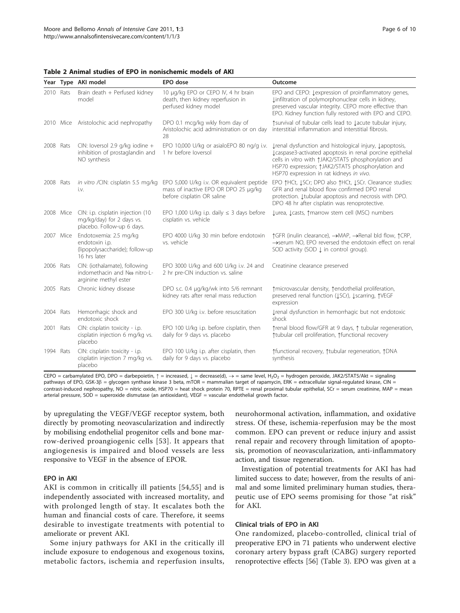<span id="page-5-0"></span>

| Table 2 Animal studies of EPO in nonischemic models of AKI |  |
|------------------------------------------------------------|--|
|------------------------------------------------------------|--|

|           |           | Year Type AKI model                                                                          | EPO dose                                                                                                        | Outcome                                                                                                                                                                                                                                                                      |
|-----------|-----------|----------------------------------------------------------------------------------------------|-----------------------------------------------------------------------------------------------------------------|------------------------------------------------------------------------------------------------------------------------------------------------------------------------------------------------------------------------------------------------------------------------------|
| 2010 Rats |           | Brain death + Perfused kidney<br>model                                                       | 10 µg/kg EPO or CEPO IV, 4 hr brain<br>death, then kidney reperfusion in<br>perfused kidney model               | EPO and CEPO: Lexpression of proinflammatory genes,<br>Linfiltration of polymorphonuclear cells in kidney,<br>preserved vascular integrity. CEPO more effective than<br>EPO. Kidney function fully restored with EPO and CEPO.                                               |
|           |           | 2010 Mice Aristolochic acid nephropathy                                                      | DPO 0.1 mcg/kg wkly from day of<br>Aristolochic acid administration or on day<br>28                             | tsurvival of tubular cells lead to Jacute tubular injury,<br>interstitial inflammation and interstitial fibrosis.                                                                                                                                                            |
| 2008 Rats |           | CIN: loversol 2.9 g/kg iodine +<br>inhibition of prostaglandin and<br>NO synthesis           | EPO 10,000 U/kg or asialoEPO 80 ng/g i.v.<br>1 hr before loversol                                               | Irenal dysfunction and histological injury, Iapoptosis,<br>Lcaspase3-activated apoptosis in renal porcine epithelial<br>cells in vitro with 1JAK2/STAT5 phosphorylation and<br>HSP70 expression; 1JAK2/STAT5 phosphorylation and<br>HSP70 expression in rat kidneys in vivo. |
| 2008 Rats |           | in vitro /CIN: cisplatin 5.5 mg/kg<br>i.v.                                                   | EPO 5,000 U/kg i.v. OR equivalent peptide<br>mass of inactive EPO OR DPO 25 µg/kg<br>before cisplatin OR saline | EPO 1HCt, LSCr; DPO also 1HCt, LSCr. Clearance studies:<br>GFR and renal blood flow confirmed DPO renal<br>protection. I tubular apoptosis and necrosis with DPO.<br>DPO 48 hr after cisplatin was renoprotective.                                                           |
|           | 2008 Mice | CIN: i.p. cisplatin injection (10<br>mg/kg/day) for 2 days vs.<br>placebo. Follow-up 6 days. | EPO 1,000 U/kg i.p. daily $\leq$ 3 days before<br>cisplatin vs. vehicle                                         | Jurea, Jcasts, 1marrow stem cell (MSC) numbers                                                                                                                                                                                                                               |
|           | 2007 Mice | Endotoxemia: 2.5 mg/kg<br>endotoxin i.p.<br>(lipopolysaccharide); follow-up<br>16 hrs later  | EPO 4000 U/kg 30 min before endotoxin<br>vs. vehicle                                                            | ↑GFR (inulin clearance), →MAP, →Renal bld flow, ↑CRP,<br>→serum NO, EPO reversed the endotoxin effect on renal<br>SOD activity (SOD $\downarrow$ in control group).                                                                                                          |
| 2006 Rats |           | CIN: (iothalamate), following<br>indomethacin and No nitro-L-<br>arginine methyl ester       | EPO 3000 U/kg and 600 U/kg i.v. 24 and<br>2 hr pre-CIN induction vs. saline                                     | Creatinine clearance preserved                                                                                                                                                                                                                                               |
| 2005 Rats |           | Chronic kidney disease                                                                       | DPO s.c. 0.4 µg/kg/wk into 5/6 remnant<br>kidney rats after renal mass reduction                                | ↑ microvascular density, ↑ endothelial proliferation,<br>preserved renal function (JSCr), Jscarring, 1VEGF<br>expression                                                                                                                                                     |
| 2004 Rats |           | Hemorrhagic shock and<br>endotoxic shock                                                     | EPO 300 U/kg i.v. before resuscitation                                                                          | Irenal dysfunction in hemorrhagic but not endotoxic<br>shock                                                                                                                                                                                                                 |
| 2001 Rats |           | CIN: cisplatin toxicity - i.p.<br>cisplatin injection 6 mg/kg vs.<br>placebo                 | EPO 100 U/kg i.p. before cisplatin, then<br>daily for 9 days vs. placebo                                        | ↑renal blood flow/GFR at 9 days, ↑ tubular regeneration,<br>tubular cell proliferation, 1 functional recovery                                                                                                                                                                |
| 1994 Rats |           | CIN: cisplatin toxicity - i.p.<br>cisplatin injection 7 mg/kg vs.<br>placebo                 | EPO 100 U/kg i.p. after cisplatin, then<br>daily for 9 days vs. placebo                                         | ↑functional recovery, ↑tubular regeneration, ↑DNA<br>synthesis                                                                                                                                                                                                               |

CEPO = carbamylated EPO, DPO = darbepoietin,  $\uparrow$  = increased,  $\downarrow$  = decrease(d),  $\rightarrow$  = same level, H<sub>2</sub>O<sub>2</sub> = hydrogen peroxide, JAK2/STAT5/Akt = signaling pathways of EPO, GSK-3 $\beta$  = glycogen synthase kinase 3 beta, mTOR = mammalian target of rapamycin, ERK = extracellular signal-regulated kinase, CIN = contrast-induced nephropathy, NO = nitric oxide, HSP70 = heat shock protein 70, RPTE = renal proximal tubular epithelial, SCr = serum creatinine, MAP = mean arterial pressure, SOD = superoxide dismutase (an antioxidant), VEGF = vascular endothelial growth factor.

by upregulating the VEGF/VEGF receptor system, both directly by promoting neovascularization and indirectly by mobilising endothelial progenitor cells and bone marrow-derived proangiogenic cells [[53\]](#page-9-0). It appears that angiogenesis is impaired and blood vessels are less responsive to VEGF in the absence of EPOR.

#### EPO in AKI

AKI is common in critically ill patients [[54,55\]](#page-9-0) and is independently associated with increased mortality, and with prolonged length of stay. It escalates both the human and financial costs of care. Therefore, it seems desirable to investigate treatments with potential to ameliorate or prevent AKI.

Some injury pathways for AKI in the critically ill include exposure to endogenous and exogenous toxins, metabolic factors, ischemia and reperfusion insults,

neurohormonal activation, inflammation, and oxidative stress. Of these, ischemia-reperfusion may be the most common. EPO can prevent or reduce injury and assist renal repair and recovery through limitation of apoptosis, promotion of neovascularization, anti-inflammatory action, and tissue regeneration.

Investigation of potential treatments for AKI has had limited success to date; however, from the results of animal and some limited preliminary human studies, therapeutic use of EPO seems promising for those "at risk" for AKI.

#### Clinical trials of EPO in AKI

One randomized, placebo-controlled, clinical trial of preoperative EPO in 71 patients who underwent elective coronary artery bypass graft (CABG) surgery reported renoprotective effects [\[56](#page-9-0)] (Table [3\)](#page-6-0). EPO was given at a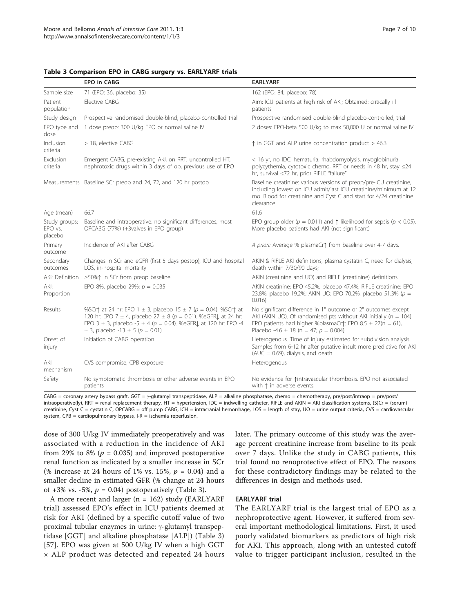|                                     | <b>EPO in CABG</b>                                                                                                                                                                                                                                                                                          | <b>EARLYARF</b>                                                                                                                                                                                                                                             |
|-------------------------------------|-------------------------------------------------------------------------------------------------------------------------------------------------------------------------------------------------------------------------------------------------------------------------------------------------------------|-------------------------------------------------------------------------------------------------------------------------------------------------------------------------------------------------------------------------------------------------------------|
| Sample size                         | 71 (EPO: 36, placebo: 35)                                                                                                                                                                                                                                                                                   | 162 (EPO: 84, placebo: 78)                                                                                                                                                                                                                                  |
| Patient<br>population               | Elective CABG                                                                                                                                                                                                                                                                                               | Aim: ICU patients at high risk of AKI; Obtained: critically ill<br>patients                                                                                                                                                                                 |
| Study design                        | Prospective randomised double-blind, placebo-controlled trial                                                                                                                                                                                                                                               | Prospective randomised double-blind placebo-controlled, trial                                                                                                                                                                                               |
| EPO type and<br>dose                | 1 dose preop: 300 U/kg EPO or normal saline IV                                                                                                                                                                                                                                                              | 2 doses: EPO-beta 500 U/kg to max 50,000 U or normal saline IV                                                                                                                                                                                              |
| Inclusion<br>criteria               | > 18, elective CABG                                                                                                                                                                                                                                                                                         | $\uparrow$ in GGT and ALP urine concentration product > 46.3                                                                                                                                                                                                |
| Exclusion<br>criteria               | Emergent CABG, pre-existing AKI, on RRT, uncontrolled HT,<br>nephrotoxic drugs within 3 days of op, previous use of EPO                                                                                                                                                                                     | < 16 yr, no IDC, hematuria, rhabdomyolysis, myoglobinuria,<br>polycythemia, cytotoxic chemo, RRT or needs in 48 hr, stay ≤24<br>hr, survival ≤72 hr, prior RIFLE "failure"                                                                                  |
|                                     | Measurements Baseline SCr preop and 24, 72, and 120 hr postop                                                                                                                                                                                                                                               | Baseline creatinine: various versions of preop/pre-ICU creatinine,<br>including lowest on ICU admit/last ICU creatinine/minimum at 12<br>mo. Blood for creatinine and Cyst C and start for 4/24 creatinine<br>clearance                                     |
| Age (mean)                          | 66.7                                                                                                                                                                                                                                                                                                        | 61.6                                                                                                                                                                                                                                                        |
| Study groups:<br>EPO vs.<br>placebo | Baseline and intraoperative: no significant differences, most<br>OPCABG (77%) (+3valves in EPO group)                                                                                                                                                                                                       | EPO group older ( $p = 0.011$ ) and $\uparrow$ likelihood for sepsis ( $p < 0.05$ ).<br>More placebo patients had AKI (not significant)                                                                                                                     |
| Primary<br>outcome                  | Incidence of AKI after CABG                                                                                                                                                                                                                                                                                 | A priori: Average % plasmaCr <sup><math>\uparrow</math></sup> from baseline over 4-7 days.                                                                                                                                                                  |
| Secondary<br>outcomes               | Changes in SCr and eGFR (first 5 days postop), ICU and hospital<br>LOS, in-hospital mortality                                                                                                                                                                                                               | AKIN & RIFLE AKI definitions, plasma cystatin C, need for dialysis,<br>death within 7/30/90 days;                                                                                                                                                           |
|                                     | AKI: Definition ≥50%↑ in SCr from preop baseline                                                                                                                                                                                                                                                            | AKIN (creatinine and UO) and RIFLE (creatinine) definitions                                                                                                                                                                                                 |
| AKI:<br>Proportion                  | EPO 8%, placebo 29%; $p = 0.035$                                                                                                                                                                                                                                                                            | AKIN creatinine: EPO 45.2%, placebo 47.4%; RIFLE creatinine: EPO<br>23.8%, placebo 19.2%; AKIN UO: EPO 70.2%, placebo 51.3% (p =<br>0.016                                                                                                                   |
| Results                             | %SCr <sup><math>\uparrow</math></sup> at 24 hr: EPO 1 $\pm$ 3, placebo 15 $\pm$ 7 (p = 0.04). %SCr $\uparrow$ at<br>120 hr: EPO 7 ± 4, placebo 27 ± 8 ( $p = 0.01$ ). %eGFRI at 24 hr:<br>EPO 3 ± 3, placebo -5 ± 4 ( $p = 0.04$ ). %eGFRĮ at 120 hr: EPO -4<br>$\pm$ 3, placebo -13 $\pm$ 5 ( $p = 0.01$ ) | No significant difference in 1° outcome or 2° outcomes except<br>AKI (AKIN UO). Of randomised pts without AKI initially ( $n = 104$ )<br>EPO patients had higher %plasmaCr $\uparrow$ : EPO 8.5 ± 27(n = 61),<br>Placebo -4.6 $\pm$ 18 (n = 47; p = 0.004). |
| Onset of<br>injury                  | Initiation of CABG operation                                                                                                                                                                                                                                                                                | Heterogenous. Time of injury estimated for subdivision analysis.<br>Samples from 6-12 hr after putative insult more predictive for AKI<br>$(AUC = 0.69)$ , dialysis, and death.                                                                             |
| aki<br>mechanism                    | CVS compromise, CPB exposure                                                                                                                                                                                                                                                                                | Heterogenous                                                                                                                                                                                                                                                |
| Safety                              | No symptomatic thrombosis or other adverse events in EPO<br>patients                                                                                                                                                                                                                                        | No evidence for 1intravascular thrombosis. EPO not associated<br>with $\uparrow$ in adverse events.                                                                                                                                                         |

#### <span id="page-6-0"></span>Table 3 Comparison EPO in CABG surgery vs. EARLYARF trials

CABG = coronary artery bypass graft, GGT =  $\gamma$ -glutamyl transpeptidase, ALP = alkaline phosphatase, chemo = chemotherapy, pre/post/intraop = pre/post/ intraoperative(ly), RRT = renal replacement therapy, HT = hypertension, IDC = indwelling catheter, RIFLE and AKIN = AKI classification systems, (S)Cr = (serum) creatinine, Cyst C = cystatin C, OPCABG = off pump CABG, ICH = intracranial hemorrhage, LOS = length of stay, UO = urine output criteria, CVS = cardiovascular system, CPB = cardiopulmonary bypass, I-R = ischemia reperfusion.

dose of 300 U/kg IV immediately preoperatively and was associated with a reduction in the incidence of AKI from 29% to 8% ( $p = 0.035$ ) and improved postoperative renal function as indicated by a smaller increase in SCr (% increase at 24 hours of 1% vs. 15%,  $p = 0.04$ ) and a smaller decline in estimated GFR (% change at 24 hours of  $+3\%$  vs.  $-5\%, p = 0.04$ ) postoperatively (Table 3).

A more recent and larger (n = 162) study (EARLYARF trial) assessed EPO's effect in ICU patients deemed at risk for AKI (defined by a specific cutoff value of two proximal tubular enzymes in urine:  $\gamma$ -glutamyl transpeptidase [GGT] and alkaline phosphatase [ALP]) (Table 3) [[57](#page-9-0)]. EPO was given at 500 U/kg IV when a high GGT × ALP product was detected and repeated 24 hours later. The primary outcome of this study was the average percent creatinine increase from baseline to its peak over 7 days. Unlike the study in CABG patients, this trial found no renoprotective effect of EPO. The reasons for these contradictory findings may be related to the differences in design and methods used.

#### EARLYARF trial

The EARLYARF trial is the largest trial of EPO as a nephroprotective agent. However, it suffered from several important methodological limitations. First, it used poorly validated biomarkers as predictors of high risk for AKI. This approach, along with an untested cutoff value to trigger participant inclusion, resulted in the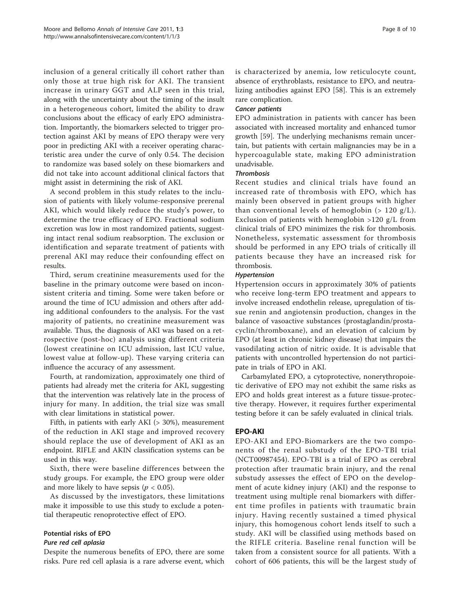inclusion of a general critically ill cohort rather than only those at true high risk for AKI. The transient increase in urinary GGT and ALP seen in this trial, along with the uncertainty about the timing of the insult in a heterogeneous cohort, limited the ability to draw conclusions about the efficacy of early EPO administration. Importantly, the biomarkers selected to trigger protection against AKI by means of EPO therapy were very poor in predicting AKI with a receiver operating characteristic area under the curve of only 0.54. The decision to randomize was based solely on these biomarkers and did not take into account additional clinical factors that might assist in determining the risk of AKI.

A second problem in this study relates to the inclusion of patients with likely volume-responsive prerenal AKI, which would likely reduce the study's power, to determine the true efficacy of EPO. Fractional sodium excretion was low in most randomized patients, suggesting intact renal sodium reabsorption. The exclusion or identification and separate treatment of patients with prerenal AKI may reduce their confounding effect on results.

Third, serum creatinine measurements used for the baseline in the primary outcome were based on inconsistent criteria and timing. Some were taken before or around the time of ICU admission and others after adding additional confounders to the analysis. For the vast majority of patients, no creatinine measurement was available. Thus, the diagnosis of AKI was based on a retrospective (post-hoc) analysis using different criteria (lowest creatinine on ICU admission, last ICU value, lowest value at follow-up). These varying criteria can influence the accuracy of any assessment.

Fourth, at randomization, approximately one third of patients had already met the criteria for AKI, suggesting that the intervention was relatively late in the process of injury for many. In addition, the trial size was small with clear limitations in statistical power.

Fifth, in patients with early AKI (> 30%), measurement of the reduction in AKI stage and improved recovery should replace the use of development of AKI as an endpoint. RIFLE and AKIN classification systems can be used in this way.

Sixth, there were baseline differences between the study groups. For example, the EPO group were older and more likely to have sepsis ( $p < 0.05$ ).

As discussed by the investigators, these limitations make it impossible to use this study to exclude a potential therapeutic renoprotective effect of EPO.

# Potential risks of EPO

# Pure red cell aplasia

Despite the numerous benefits of EPO, there are some risks. Pure red cell aplasia is a rare adverse event, which is characterized by anemia, low reticulocyte count, absence of erythroblasts, resistance to EPO, and neutralizing antibodies against EPO [\[58](#page-9-0)]. This is an extremely rare complication.

### Cancer patients

EPO administration in patients with cancer has been associated with increased mortality and enhanced tumor growth [\[59](#page-9-0)]. The underlying mechanisms remain uncertain, but patients with certain malignancies may be in a hypercoagulable state, making EPO administration unadvisable.

# **Thrombosis**

Recent studies and clinical trials have found an increased rate of thrombosis with EPO, which has mainly been observed in patient groups with higher than conventional levels of hemoglobin  $(> 120 \text{ g/L}).$ Exclusion of patients with hemoglobin >120 g/L from clinical trials of EPO minimizes the risk for thrombosis. Nonetheless, systematic assessment for thrombosis should be performed in any EPO trials of critically ill patients because they have an increased risk for thrombosis.

#### Hypertension

Hypertension occurs in approximately 30% of patients who receive long-term EPO treatment and appears to involve increased endothelin release, upregulation of tissue renin and angiotensin production, changes in the balance of vasoactive substances (prostaglandin/prostacyclin/thromboxane), and an elevation of calcium by EPO (at least in chronic kidney disease) that impairs the vasodilating action of nitric oxide. It is advisable that patients with uncontrolled hypertension do not participate in trials of EPO in AKI.

Carbamylated EPO, a cytoprotective, nonerythropoietic derivative of EPO may not exhibit the same risks as EPO and holds great interest as a future tissue-protective therapy. However, it requires further experimental testing before it can be safely evaluated in clinical trials.

# EPO-AKI

EPO-AKI and EPO-Biomarkers are the two components of the renal substudy of the EPO-TBI trial (NCT00987454). EPO-TBI is a trial of EPO as cerebral protection after traumatic brain injury, and the renal substudy assesses the effect of EPO on the development of acute kidney injury (AKI) and the response to treatment using multiple renal biomarkers with different time profiles in patients with traumatic brain injury. Having recently sustained a timed physical injury, this homogenous cohort lends itself to such a study. AKI will be classified using methods based on the RIFLE criteria. Baseline renal function will be taken from a consistent source for all patients. With a cohort of 606 patients, this will be the largest study of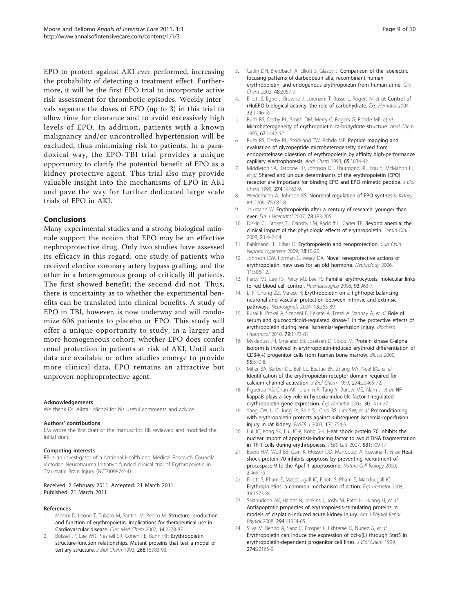<span id="page-8-0"></span>EPO to protect against AKI ever performed, increasing the probability of detecting a treatment effect. Furthermore, it will be the first EPO trial to incorporate active risk assessment for thrombotic episodes. Weekly intervals separate the doses of EPO (up to 3) in this trial to allow time for clearance and to avoid excessively high levels of EPO. In addition, patients with a known malignancy and/or uncontrolled hypertension will be excluded, thus minimizing risk to patients. In a paradoxical way, the EPO-TBI trial provides a unique opportunity to clarify the potential benefit of EPO as a kidney protective agent. This trial also may provide valuable insight into the mechanisms of EPO in AKI and pave the way for further dedicated large scale trials of EPO in AKI.

# Conclusions

Many experimental studies and a strong biological rationale support the notion that EPO may be an effective nephroprotective drug. Only two studies have assessed its efficacy in this regard: one study of patients who received elective coronary artery bypass grafting, and the other in a heterogeneous group of critically ill patients. The first showed benefit; the second did not. Thus, there is uncertainty as to whether the experimental benefits can be translated into clinical benefits. A study of EPO in TBI, however, is now underway and will randomize 606 patients to placebo or EPO. This study will offer a unique opportunity to study, in a larger and more homogeneous cohort, whether EPO does confer renal protection in patients at risk of AKI. Until such data are available or other studies emerge to provide more clinical data, EPO remains an attractive but unproven nephroprotective agent.

#### Acknowledgements

We thank Dr. Alistair Nichol for his useful comments and advice.

#### Authors' contributions

EM wrote the first draft of the manuscript. RB reviewed and modified the initial draft.

#### Competing interests

RB is an investigator of a National Health and Medical Research Council/ Victorian Neurotrauma Initiative funded clinical trial of Erythropoietin in Traumatic Brain Injury (NCT00987454).

#### Received: 2 February 2011 Accepted: 21 March 2011 Published: 21 March 2011

#### References

- 1. Mocini D, Leone T, Tubaro M, Santini M, Penco M: Structure, production and function of erythropoietin: implications for therapeutical use in Cardiovascular disease. Curr Med Chem 2007, 14:2278-87.
- 2. Boissel JP, Lee WR, Presnell SR, Cohen FE, Bunn HF: Erythropoietin structure-function relationships. Mutant proteins that test a model of tertiary structure. J Biol Chem 1993, 268:15983-93.
- 3. Catlin DH, Breidbach A, Elliott S, Glaspy J: Comparison of the isoelectric focusing patterns of darbepoetin alfa, recombinant human erythropoietin, and endogenous erythropoietin from human urine. Clin Chem 2002, 48:2057-9.
- 4. Elliott S, Egrie J, Browne J, Lorenzini T, Busse L, Rogers N, et al: Control of rHuEPO biological activity: the role of carbohydrate. Exp Hematol 2004, 32:1146-55.
- 5. Rush RS, Derby PL, Smith DM, Merry C, Rogers G, Rohde MF, et al: Microheterogeneity of erythropoietin carbohydrate structure. Anal Chem 1995, 67:1442-52.
- 6. Rush RS, Derby PL, Strickland TW, Rohde MF: Peptide mapping and evaluation of glycopeptide microheterogeneity derived from endoproteinase digestion of erythropoietin by affinity high-performance capillary electrophoresis. Anal Chem 1993, 65:1834-42.
- 7. Middleton SA, Barbone FP, Johnson DL, Thurmond RL, You Y, McMahon FJ, et al: Shared and unique determinants of the erythropoietin (EPO) receptor are important for binding EPO and EPO mimetic peptide. J Biol Chem 1999, 274:14163-9.
- 8. Weidemann A, Johnson RS: Nonrenal regulation of EPO synthesis. Kidney Int 2009, 75:682-8.
- 9. Jelkmann W: Erythropoietin after a century of research: younger than ever. Eur J Haematol 2007, 78:183-205.
- 10. Diskin CJ, Stokes TJ, Dansby LM, Radcliff L, Carter TB: Beyond anemia: the clinical impact of the physiologic effects of erythropoietin. Semin Dial 2008, 21:447-54.
- 11. Bahlmann FH, Fliser D: Erythropoietin and renoprotection. Curr Opin Nephrol Hypertens 2009, 18:15-20.
- 12. Johnson DW, Forman C, Vesey DA: Novel renoprotective actions of erythropoietin: new uses for an old hormone. Nephrology 2006, 11:306-12.
- 13. Percy MJ, Lee FS, Percy MJ, Lee FS: Familial erythrocytosis: molecular links to red blood cell control. Haematologica 2008, 93:963-7
- 14. Li F, Chong ZZ, Maiese K: Erythropoietin on a tightrope: balancing neuronal and vascular protection between intrinsic and extrinsic pathways. Neurosignals 2004, 13:265-89.
- 15. Rusai K, Prokai A, Szebeni B, Fekete A, Treszl A, Vannay A, et al: Role of serum and glucocorticoid-regulated kinase-1 in the protective effects of erythropoietin during renal ischemia/reperfusion injury. Biochem Pharmacol 2010, 79:1173-81.
- 16. Myklebust JH, Smeland EB, Josefsen D, Sioud M: Protein kinase C-alpha isoform is involved in erythropoietin-induced erythroid differentiation of CD34(+) progenitor cells from human bone marrow. Blood 2000, 95:510-8.
- 17. Miller BA, Barber DL, Bell LL, Beattie BK, Zhang MY, Neel BG, et al: Identification of the erythropoietin receptor domain required for calcium channel activation. J Biol Chem 1999, 274:20465-72.
- 18. Figueroa YG, Chan AK, Ibrahim R, Tang Y, Burow ME, Alam J, et al: NFkappaB plays a key role in hypoxia-inducible factor-1-regulated erythropoietin gene expression. Exp Hematol 2002, 30:1419-27.
- 19. Yang CW, Li C, Jung JY, Shin SJ, Choi BS, Lim SW, et al: Preconditioning with erythropoietin protects against subsequent ischemia-reperfusion injury in rat kidney. FASEB J 2003, 17:1754-5.
- 20. Lui JC, Kong SK, Lui JC-K, Kong S-K: Heat shock protein 70 inhibits the nuclear import of apoptosis-inducing factor to avoid DNA fragmentation in TF-1 cells during erythropoiesis. FEBS Lett 2007, 581:109-17.
- 21. Beere HM, Wolf BB, Cain K, Mosser DD, Mahboubi A, Kuwana T, et al: Heatshock protein 70 inhibits apoptosis by preventing recruitment of procaspase-9 to the Apaf-1 apoptosome. Nature Cell Biology 2000, 2:469-75.
- 22. Elliott S, Pham E, Macdougall IC, Elliott S, Pham E, Macdougall IC: Erythropoietins: a common mechanism of action. Exp Hematol 2008, 36:1573-84.
- 23. Salahudeen AK, Haider N, Jenkins J, Joshi M, Patel H, Huang H, et al: Antiapoptotic properties of erythropoiesis-stimulating proteins in models of cisplatin-induced acute kidney injury. Am J Physiol Renal Physiol 2008, 294:F1354-65.
- 24. Silva M, Benito A, Sanz C, Prosper F, Ekhterae D, Nunez G, et al: Erythropoietin can induce the expression of bcl-x(L) through Stat5 in erythropoietin-dependent progenitor cell lines. J Biol Chem 1999, 274:22165-9.